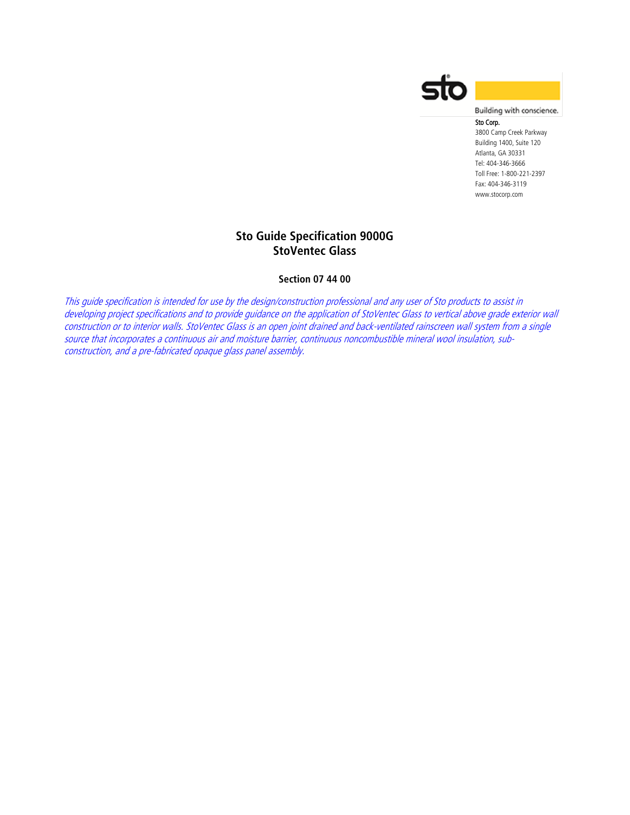

Building with conscience.

# Sto Corp.

3800 Camp Creek Parkway Building 1400, Suite 120 Atlanta, GA 30331 Tel: 404-346-3666 Toll Free: 1-800-221-2397 Fax: 404-346-3119 www.stocorp.com

# **Sto Guide Specification 9000G StoVentec Glass**

## **Section 07 44 00**

This guide specification is intended for use by the design/construction professional and any user of Sto products to assist in developing project specifications and to provide guidance on the application of StoVentec Glass to vertical above grade exterior wall construction or to interior walls. StoVentec Glass is an open joint drained and back-ventilated rainscreen wall system from a single source that incorporates a continuous air and moisture barrier, continuous noncombustible mineral wool insulation, subconstruction, and a pre-fabricated opaque glass panel assembly.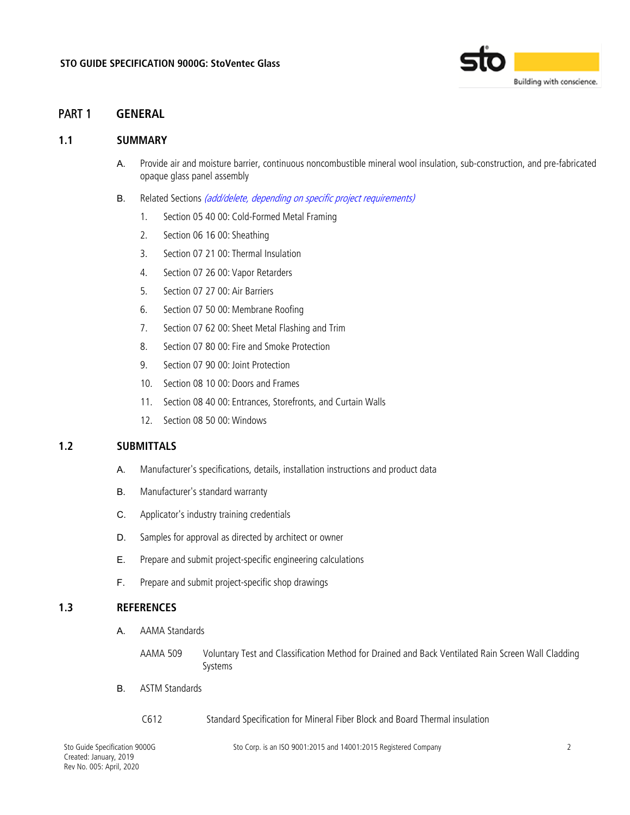

# PART 1 **GENERAL**

### **1.1 SUMMARY**

- A. Provide air and moisture barrier, continuous noncombustible mineral wool insulation, sub-construction, and pre-fabricated opaque glass panel assembly
- B. Related Sections (add/delete, depending on specific project requirements)
	- 1. Section 05 40 00: Cold-Formed Metal Framing
	- 2. Section 06 16 00: Sheathing
	- 3. Section 07 21 00: Thermal Insulation
	- 4. Section 07 26 00: Vapor Retarders
	- 5. Section 07 27 00: Air Barriers
	- 6. Section 07 50 00: Membrane Roofing
	- 7. Section 07 62 00: Sheet Metal Flashing and Trim
	- 8. Section 07 80 00: Fire and Smoke Protection
	- 9. Section 07 90 00: Joint Protection
	- 10. Section 08 10 00: Doors and Frames
	- 11. Section 08 40 00: Entrances, Storefronts, and Curtain Walls
	- 12. Section 08 50 00: Windows

### **1.2 SUBMITTALS**

- A. Manufacturer's specifications, details, installation instructions and product data
- B. Manufacturer's standard warranty
- C. Applicator's industry training credentials
- D. Samples for approval as directed by architect or owner
- E. Prepare and submit project-specific engineering calculations
- F. Prepare and submit project-specific shop drawings

### **1.3 REFERENCES**

- A. AAMA Standards
	- AAMA 509 Voluntary Test and Classification Method for Drained and Back Ventilated Rain Screen Wall Cladding Systems
- B. ASTM Standards
	- C612 Standard Specification for Mineral Fiber Block and Board Thermal insulation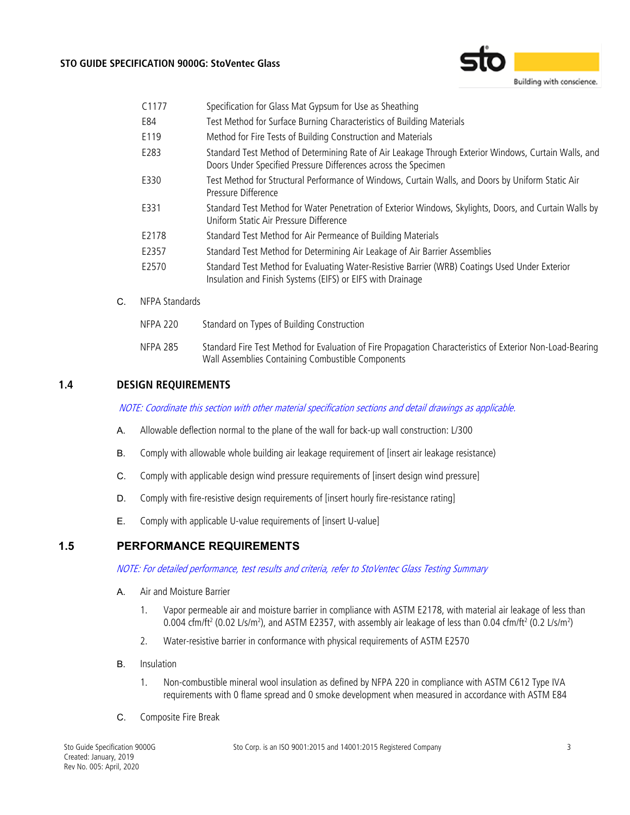### **STO GUIDE SPECIFICATION 9000G: StoVentec Glass**



| C <sub>1177</sub> | Specification for Glass Mat Gypsum for Use as Sheathing                                                                                                                |
|-------------------|------------------------------------------------------------------------------------------------------------------------------------------------------------------------|
| E84               | Test Method for Surface Burning Characteristics of Building Materials                                                                                                  |
| E119              | Method for Fire Tests of Building Construction and Materials                                                                                                           |
| E283              | Standard Test Method of Determining Rate of Air Leakage Through Exterior Windows, Curtain Walls, and<br>Doors Under Specified Pressure Differences across the Specimen |
| E330              | Test Method for Structural Performance of Windows, Curtain Walls, and Doors by Uniform Static Air<br>Pressure Difference                                               |
| E331              | Standard Test Method for Water Penetration of Exterior Windows, Skylights, Doors, and Curtain Walls by<br>Uniform Static Air Pressure Difference                       |
| E2178             | Standard Test Method for Air Permeance of Building Materials                                                                                                           |
| E2357             | Standard Test Method for Determining Air Leakage of Air Barrier Assemblies                                                                                             |
| E2570             | Standard Test Method for Evaluating Water-Resistive Barrier (WRB) Coatings Used Under Exterior<br>Insulation and Finish Systems (EIFS) or EIFS with Drainage           |

C. NFPA Standards

| NFPA 220 | Standard on Types of Building Construction                                                                                                                     |
|----------|----------------------------------------------------------------------------------------------------------------------------------------------------------------|
| NFPA 285 | Standard Fire Test Method for Evaluation of Fire Propagation Characteristics of Exterior Non-Load-Bearing<br>Wall Assemblies Containing Combustible Components |

# **1.4 DESIGN REQUIREMENTS**

NOTE: Coordinate this section with other material specification sections and detail drawings as applicable.

- A. Allowable deflection normal to the plane of the wall for back-up wall construction: L/300
- B. Comply with allowable whole building air leakage requirement of [insert air leakage resistance)
- C. Comply with applicable design wind pressure requirements of [insert design wind pressure]
- D. Comply with fire-resistive design requirements of [insert hourly fire-resistance rating]
- E. Comply with applicable U-value requirements of [insert U-value]

## **1.5 PERFORMANCE REQUIREMENTS**

NOTE: For detailed performance, test results and criteria, refer to StoVentec Glass Testing Summary

- A. Air and Moisture Barrier
	- 1. Vapor permeable air and moisture barrier in compliance with ASTM E2178, with material air leakage of less than 0.004 cfm/ft<sup>2</sup> (0.02 L/s/m<sup>2</sup>), and ASTM E2357, with assembly air leakage of less than 0.04 cfm/ft<sup>2</sup> (0.2 L/s/m<sup>2</sup>)
	- 2. Water-resistive barrier in conformance with physical requirements of ASTM E2570
- B. Insulation
	- 1. Non-combustible mineral wool insulation as defined by NFPA 220 in compliance with ASTM C612 Type IVA requirements with 0 flame spread and 0 smoke development when measured in accordance with ASTM E84
- C. Composite Fire Break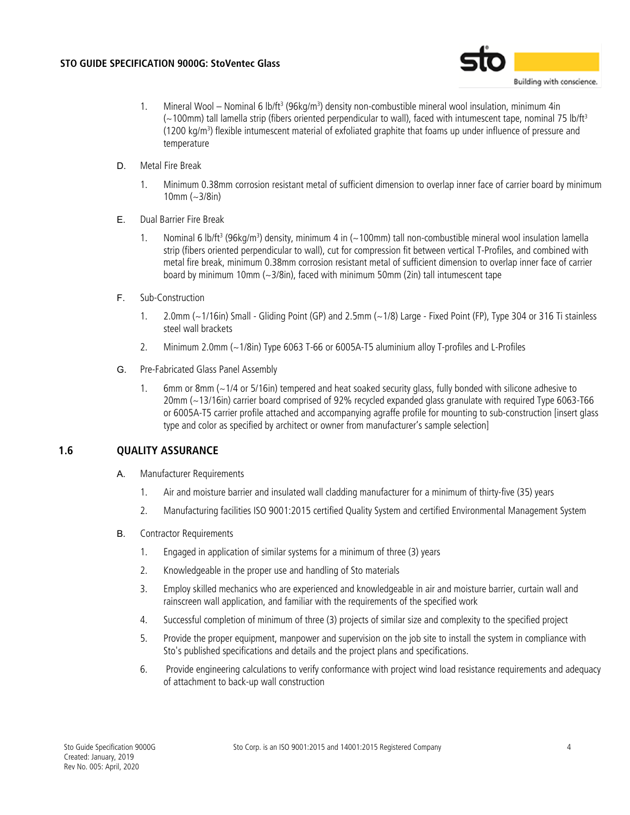

- 1. Mineral Wool Nominal 6 lb/ft<sup>3</sup> (96kg/m<sup>3</sup>) density non-combustible mineral wool insulation, minimum 4in (~100mm) tall lamella strip (fibers oriented perpendicular to wall), faced with intumescent tape, nominal 75 lb/ft3 (1200 kg/m3 ) flexible intumescent material of exfoliated graphite that foams up under influence of pressure and temperature
- D. Metal Fire Break
	- 1. Minimum 0.38mm corrosion resistant metal of sufficient dimension to overlap inner face of carrier board by minimum 10mm (~3/8in)
- E. Dual Barrier Fire Break
	- 1. Nominal 6 lb/ft<sup>3</sup> (96kg/m<sup>3</sup>) density, minimum 4 in (~100mm) tall non-combustible mineral wool insulation lamella strip (fibers oriented perpendicular to wall), cut for compression fit between vertical T-Profiles, and combined with metal fire break, minimum 0.38mm corrosion resistant metal of sufficient dimension to overlap inner face of carrier board by minimum 10mm (~3/8in), faced with minimum 50mm (2in) tall intumescent tape
- F. Sub-Construction
	- 1. 2.0mm (~1/16in) Small Gliding Point (GP) and 2.5mm (~1/8) Large Fixed Point (FP), Type 304 or 316 Ti stainless steel wall brackets
	- 2. Minimum 2.0mm (~1/8in) Type 6063 T-66 or 6005A-T5 aluminium alloy T-profiles and L-Profiles
- G. Pre-Fabricated Glass Panel Assembly
	- 1. 6mm or 8mm (~1/4 or 5/16in) tempered and heat soaked security glass, fully bonded with silicone adhesive to 20mm (~13/16in) carrier board comprised of 92% recycled expanded glass granulate with required Type 6063-T66 or 6005A-T5 carrier profile attached and accompanying agraffe profile for mounting to sub-construction [insert glass type and color as specified by architect or owner from manufacturer's sample selection]

# **1.6 QUALITY ASSURANCE**

- A. Manufacturer Requirements
	- 1. Air and moisture barrier and insulated wall cladding manufacturer for a minimum of thirty-five (35) years
	- 2. Manufacturing facilities ISO 9001:2015 certified Quality System and certified Environmental Management System
- B. Contractor Requirements
	- 1. Engaged in application of similar systems for a minimum of three (3) years
	- 2. Knowledgeable in the proper use and handling of Sto materials
	- 3. Employ skilled mechanics who are experienced and knowledgeable in air and moisture barrier, curtain wall and rainscreen wall application, and familiar with the requirements of the specified work
	- 4. Successful completion of minimum of three (3) projects of similar size and complexity to the specified project
	- 5. Provide the proper equipment, manpower and supervision on the job site to install the system in compliance with Sto's published specifications and details and the project plans and specifications.
	- 6. Provide engineering calculations to verify conformance with project wind load resistance requirements and adequacy of attachment to back-up wall construction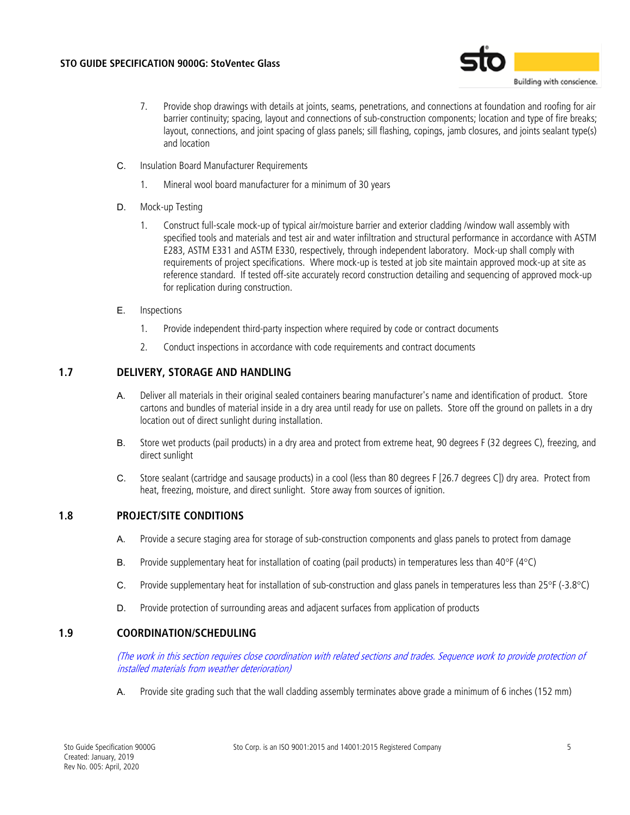

- 7. Provide shop drawings with details at joints, seams, penetrations, and connections at foundation and roofing for air barrier continuity; spacing, layout and connections of sub-construction components; location and type of fire breaks; layout, connections, and joint spacing of glass panels; sill flashing, copings, jamb closures, and joints sealant type(s) and location
- C. Insulation Board Manufacturer Requirements
	- 1. Mineral wool board manufacturer for a minimum of 30 years
- D. Mock-up Testing
	- 1. Construct full-scale mock-up of typical air/moisture barrier and exterior cladding /window wall assembly with specified tools and materials and test air and water infiltration and structural performance in accordance with ASTM E283, ASTM E331 and ASTM E330, respectively, through independent laboratory. Mock-up shall comply with requirements of project specifications. Where mock-up is tested at job site maintain approved mock-up at site as reference standard. If tested off-site accurately record construction detailing and sequencing of approved mock-up for replication during construction.
- E. Inspections
	- 1. Provide independent third-party inspection where required by code or contract documents
	- 2. Conduct inspections in accordance with code requirements and contract documents

# **1.7 DELIVERY, STORAGE AND HANDLING**

- A. Deliver all materials in their original sealed containers bearing manufacturer's name and identification of product. Store cartons and bundles of material inside in a dry area until ready for use on pallets. Store off the ground on pallets in a dry location out of direct sunlight during installation.
- B. Store wet products (pail products) in a dry area and protect from extreme heat, 90 degrees F (32 degrees C), freezing, and direct sunlight
- C. Store sealant (cartridge and sausage products) in a cool (less than 80 degrees F [26.7 degrees C]) dry area. Protect from heat, freezing, moisture, and direct sunlight. Store away from sources of ignition.

### **1.8 PROJECT/SITE CONDITIONS**

- A. Provide a secure staging area for storage of sub-construction components and glass panels to protect from damage
- B. Provide supplementary heat for installation of coating (pail products) in temperatures less than 40°F (4°C)
- C. Provide supplementary heat for installation of sub-construction and glass panels in temperatures less than 25°F (-3.8°C)
- D. Provide protection of surrounding areas and adjacent surfaces from application of products

# **1.9 COORDINATION/SCHEDULING**

(The work in this section requires close coordination with related sections and trades. Sequence work to provide protection of installed materials from weather deterioration)

A. Provide site grading such that the wall cladding assembly terminates above grade a minimum of 6 inches (152 mm)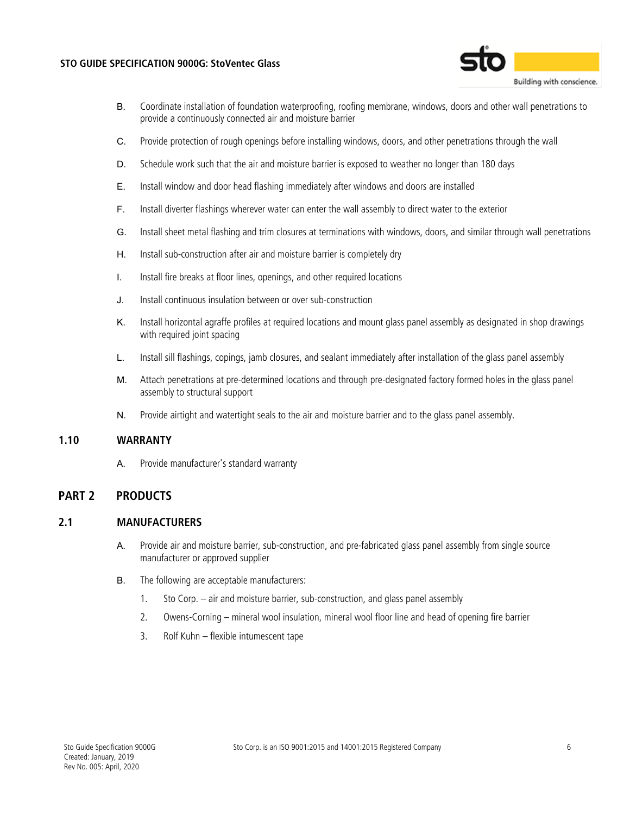#### **STO GUIDE SPECIFICATION 9000G: StoVentec Glass**



- B. Coordinate installation of foundation waterproofing, roofing membrane, windows, doors and other wall penetrations to provide a continuously connected air and moisture barrier
- C. Provide protection of rough openings before installing windows, doors, and other penetrations through the wall
- D. Schedule work such that the air and moisture barrier is exposed to weather no longer than 180 days
- E. Install window and door head flashing immediately after windows and doors are installed
- F. Install diverter flashings wherever water can enter the wall assembly to direct water to the exterior
- G. Install sheet metal flashing and trim closures at terminations with windows, doors, and similar through wall penetrations
- H. Install sub-construction after air and moisture barrier is completely dry
- I. Install fire breaks at floor lines, openings, and other required locations
- J. Install continuous insulation between or over sub-construction
- K. Install horizontal agraffe profiles at required locations and mount glass panel assembly as designated in shop drawings with required joint spacing
- L. Install sill flashings, copings, jamb closures, and sealant immediately after installation of the glass panel assembly
- M. Attach penetrations at pre-determined locations and through pre-designated factory formed holes in the glass panel assembly to structural support
- N. Provide airtight and watertight seals to the air and moisture barrier and to the glass panel assembly.

### **1.10 WARRANTY**

A. Provide manufacturer's standard warranty

# **PART 2 PRODUCTS**

### **2.1 MANUFACTURERS**

- A. Provide air and moisture barrier, sub-construction, and pre-fabricated glass panel assembly from single source manufacturer or approved supplier
- B. The following are acceptable manufacturers:
	- 1. Sto Corp. air and moisture barrier, sub-construction, and glass panel assembly
	- 2. Owens-Corning mineral wool insulation, mineral wool floor line and head of opening fire barrier
	- 3. Rolf Kuhn flexible intumescent tape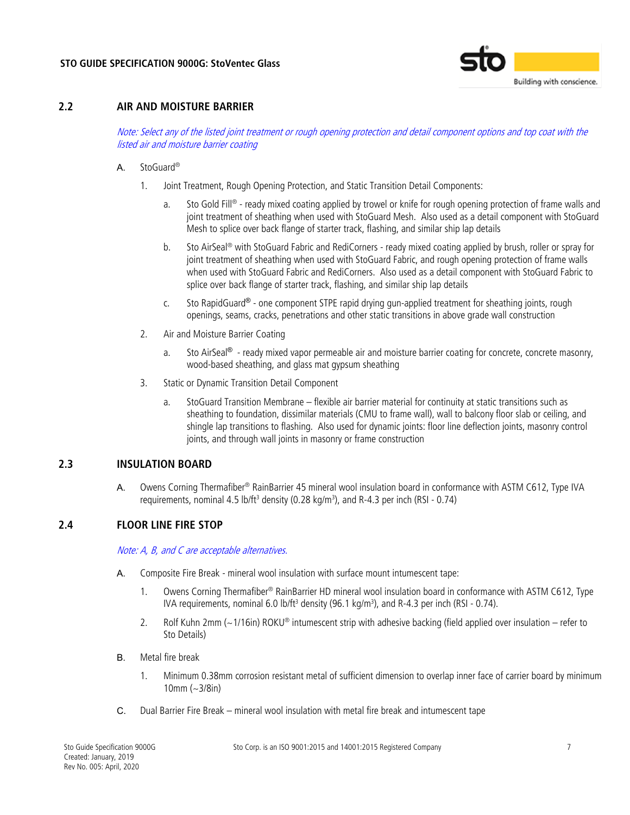

## **2.2 AIR AND MOISTURE BARRIER**

Note: Select any of the listed joint treatment or rough opening protection and detail component options and top coat with the listed air and moisture barrier coating

- A. StoGuard®
	- 1. Joint Treatment, Rough Opening Protection, and Static Transition Detail Components:
		- a. Sto Gold Fill® ready mixed coating applied by trowel or knife for rough opening protection of frame walls and joint treatment of sheathing when used with StoGuard Mesh. Also used as a detail component with StoGuard Mesh to splice over back flange of starter track, flashing, and similar ship lap details
		- b. Sto AirSeal® with StoGuard Fabric and RediCorners ready mixed coating applied by brush, roller or spray for joint treatment of sheathing when used with StoGuard Fabric, and rough opening protection of frame walls when used with StoGuard Fabric and RediCorners. Also used as a detail component with StoGuard Fabric to splice over back flange of starter track, flashing, and similar ship lap details
		- c. Sto RapidGuard® one component STPE rapid drying gun-applied treatment for sheathing joints, rough openings, seams, cracks, penetrations and other static transitions in above grade wall construction
	- 2. Air and Moisture Barrier Coating
		- a. Sto AirSeal® ready mixed vapor permeable air and moisture barrier coating for concrete, concrete masonry, wood-based sheathing, and glass mat gypsum sheathing
	- 3. Static or Dynamic Transition Detail Component
		- a. StoGuard Transition Membrane flexible air barrier material for continuity at static transitions such as sheathing to foundation, dissimilar materials (CMU to frame wall), wall to balcony floor slab or ceiling, and shingle lap transitions to flashing. Also used for dynamic joints: floor line deflection joints, masonry control joints, and through wall joints in masonry or frame construction

# **2.3 INSULATION BOARD**

A. Owens Corning Thermafiber® RainBarrier 45 mineral wool insulation board in conformance with ASTM C612, Type IVA requirements, nominal 4.5 lb/ft<sup>3</sup> density (0.28 kg/m<sup>3</sup>), and R-4.3 per inch (RSI - 0.74)

### **2.4 FLOOR LINE FIRE STOP**

Note: A, B, and C are acceptable alternatives.

- A. Composite Fire Break mineral wool insulation with surface mount intumescent tape:
	- 1. Owens Corning Thermafiber® RainBarrier HD mineral wool insulation board in conformance with ASTM C612, Type IVA requirements, nominal 6.0 lb/ft<sup>3</sup> density (96.1 kg/m<sup>3</sup>), and R-4.3 per inch (RSI - 0.74).
	- 2. Rolf Kuhn 2mm (~1/16in) ROKU® intumescent strip with adhesive backing (field applied over insulation refer to Sto Details)
- B. Metal fire break
	- 1. Minimum 0.38mm corrosion resistant metal of sufficient dimension to overlap inner face of carrier board by minimum 10mm (~3/8in)
- C. Dual Barrier Fire Break mineral wool insulation with metal fire break and intumescent tape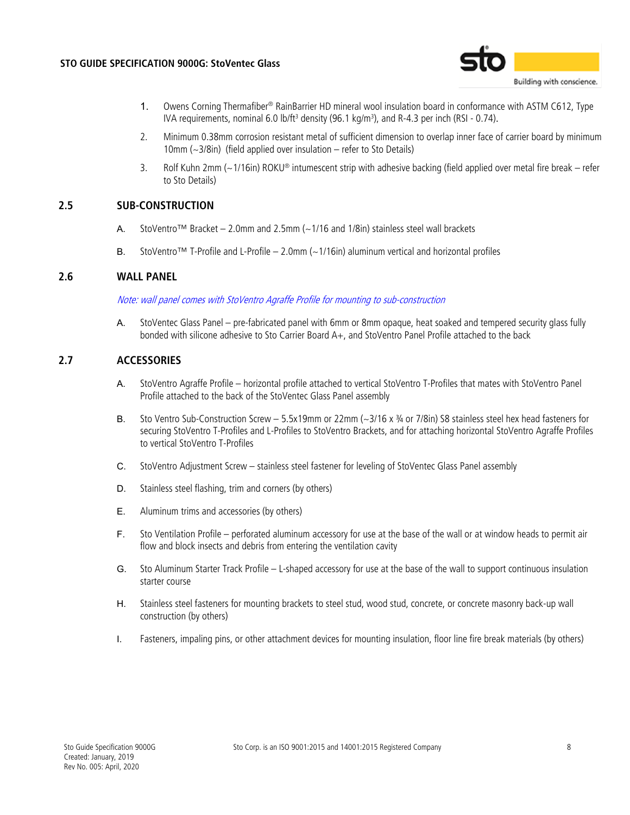

- 1. Owens Corning Thermafiber® RainBarrier HD mineral wool insulation board in conformance with ASTM C612, Type IVA requirements, nominal 6.0 lb/ft<sup>3</sup> density (96.1 kg/m<sup>3</sup>), and R-4.3 per inch (RSI - 0.74).
- 2. Minimum 0.38mm corrosion resistant metal of sufficient dimension to overlap inner face of carrier board by minimum 10mm (~3/8in) (field applied over insulation – refer to Sto Details)
- 3. Rolf Kuhn 2mm (~1/16in) ROKU® intumescent strip with adhesive backing (field applied over metal fire break refer to Sto Details)

# **2.5 SUB-CONSTRUCTION**

- A. StoVentro™ Bracket 2.0mm and 2.5mm  $\left(\sim\right)$ 1/16 and 1/8in) stainless steel wall brackets
- B. StoVentro™ T-Profile and L-Profile 2.0mm (~1/16in) aluminum vertical and horizontal profiles

### **2.6 WALL PANEL**

#### Note: wall panel comes with StoVentro Agraffe Profile for mounting to sub-construction

A. StoVentec Glass Panel – pre-fabricated panel with 6mm or 8mm opaque, heat soaked and tempered security glass fully bonded with silicone adhesive to Sto Carrier Board A+, and StoVentro Panel Profile attached to the back

### **2.7 ACCESSORIES**

- A. StoVentro Agraffe Profile horizontal profile attached to vertical StoVentro T-Profiles that mates with StoVentro Panel Profile attached to the back of the StoVentec Glass Panel assembly
- B. Sto Ventro Sub-Construction Screw 5.5x19mm or 22mm  $\sim$  3/16 x  $\frac{3}{4}$  or 7/8in) S8 stainless steel hex head fasteners for securing StoVentro T-Profiles and L-Profiles to StoVentro Brackets, and for attaching horizontal StoVentro Agraffe Profiles to vertical StoVentro T-Profiles
- C. StoVentro Adjustment Screw stainless steel fastener for leveling of StoVentec Glass Panel assembly
- D. Stainless steel flashing, trim and corners (by others)
- E. Aluminum trims and accessories (by others)
- F. Sto Ventilation Profile perforated aluminum accessory for use at the base of the wall or at window heads to permit air flow and block insects and debris from entering the ventilation cavity
- G. Sto Aluminum Starter Track Profile L-shaped accessory for use at the base of the wall to support continuous insulation starter course
- H. Stainless steel fasteners for mounting brackets to steel stud, wood stud, concrete, or concrete masonry back-up wall construction (by others)
- I. Fasteners, impaling pins, or other attachment devices for mounting insulation, floor line fire break materials (by others)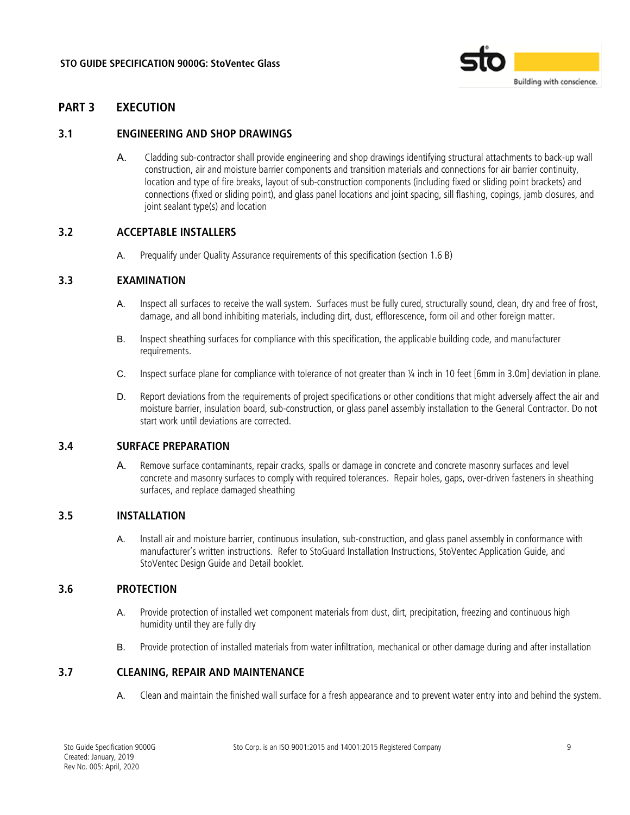

# **PART 3 EXECUTION**

### **3.1 ENGINEERING AND SHOP DRAWINGS**

A. Cladding sub-contractor shall provide engineering and shop drawings identifying structural attachments to back-up wall construction, air and moisture barrier components and transition materials and connections for air barrier continuity, location and type of fire breaks, layout of sub-construction components (including fixed or sliding point brackets) and connections (fixed or sliding point), and glass panel locations and joint spacing, sill flashing, copings, jamb closures, and joint sealant type(s) and location

### **3.2 ACCEPTABLE INSTALLERS**

A. Prequalify under Quality Assurance requirements of this specification (section 1.6 B)

### **3.3 EXAMINATION**

- A. Inspect all surfaces to receive the wall system. Surfaces must be fully cured, structurally sound, clean, dry and free of frost, damage, and all bond inhibiting materials, including dirt, dust, efflorescence, form oil and other foreign matter.
- B. Inspect sheathing surfaces for compliance with this specification, the applicable building code, and manufacturer requirements.
- C. Inspect surface plane for compliance with tolerance of not greater than ¼ inch in 10 feet [6mm in 3.0m] deviation in plane.
- D. Report deviations from the requirements of project specifications or other conditions that might adversely affect the air and moisture barrier, insulation board, sub-construction, or glass panel assembly installation to the General Contractor. Do not start work until deviations are corrected.

## **3.4 SURFACE PREPARATION**

A. Remove surface contaminants, repair cracks, spalls or damage in concrete and concrete masonry surfaces and level concrete and masonry surfaces to comply with required tolerances. Repair holes, gaps, over-driven fasteners in sheathing surfaces, and replace damaged sheathing

# **3.5 INSTALLATION**

A. Install air and moisture barrier, continuous insulation, sub-construction, and glass panel assembly in conformance with manufacturer's written instructions. Refer to StoGuard Installation Instructions, StoVentec Application Guide, and StoVentec Design Guide and Detail booklet.

### **3.6 PROTECTION**

- A. Provide protection of installed wet component materials from dust, dirt, precipitation, freezing and continuous high humidity until they are fully dry
- B. Provide protection of installed materials from water infiltration, mechanical or other damage during and after installation

#### **3.7 CLEANING, REPAIR AND MAINTENANCE**

A. Clean and maintain the finished wall surface for a fresh appearance and to prevent water entry into and behind the system.